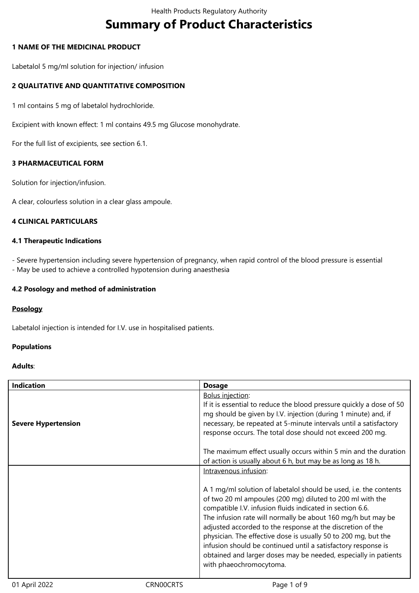# **Summary of Product Characteristics**

# **1 NAME OF THE MEDICINAL PRODUCT**

Labetalol 5 mg/ml solution for injection/ infusion

# **2 QUALITATIVE AND QUANTITATIVE COMPOSITION**

1 ml contains 5 mg of labetalol hydrochloride.

Excipient with known effect: 1 ml contains 49.5 mg Glucose monohydrate.

For the full list of excipients, see section 6.1.

# **3 PHARMACEUTICAL FORM**

Solution for injection/infusion.

A clear, colourless solution in a clear glass ampoule.

# **4 CLINICAL PARTICULARS**

# **4.1 Therapeutic Indications**

- Severe hypertension including severe hypertension of pregnancy, when rapid control of the blood pressure is essential

- May be used to achieve a controlled hypotension during anaesthesia

# **4.2 Posology and method of administration**

# **Posology**

Labetalol injection is intended for I.V. use in hospitalised patients.

## **Populations**

# **Adults**:

| <b>Indication</b>          | <b>Dosage</b>                                                                                                                                                                                                                                                                                                                                                                                                                                                                                                                                              |
|----------------------------|------------------------------------------------------------------------------------------------------------------------------------------------------------------------------------------------------------------------------------------------------------------------------------------------------------------------------------------------------------------------------------------------------------------------------------------------------------------------------------------------------------------------------------------------------------|
| <b>Severe Hypertension</b> | <b>Bolus injection:</b><br>If it is essential to reduce the blood pressure quickly a dose of 50<br>mg should be given by I.V. injection (during 1 minute) and, if<br>necessary, be repeated at 5-minute intervals until a satisfactory<br>response occurs. The total dose should not exceed 200 mg.                                                                                                                                                                                                                                                        |
|                            | The maximum effect usually occurs within 5 min and the duration<br>of action is usually about 6 h, but may be as long as 18 h.                                                                                                                                                                                                                                                                                                                                                                                                                             |
|                            | Intravenous infusion:                                                                                                                                                                                                                                                                                                                                                                                                                                                                                                                                      |
|                            | A 1 mg/ml solution of labetalol should be used, i.e. the contents<br>of two 20 ml ampoules (200 mg) diluted to 200 ml with the<br>compatible I.V. infusion fluids indicated in section 6.6.<br>The infusion rate will normally be about 160 mg/h but may be<br>adjusted accorded to the response at the discretion of the<br>physician. The effective dose is usually 50 to 200 mg, but the<br>infusion should be continued until a satisfactory response is<br>obtained and larger doses may be needed, especially in patients<br>with phaeochromocytoma. |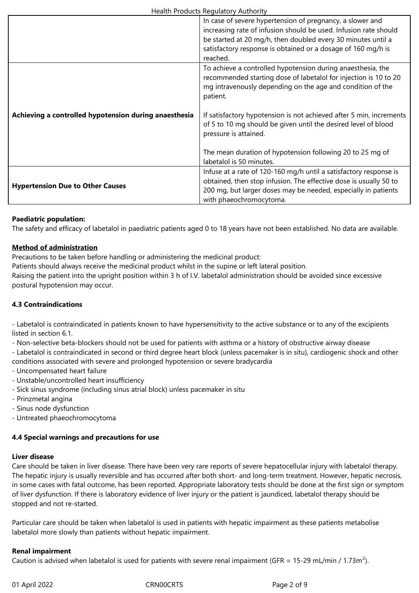|                                                       | In case of severe hypertension of pregnancy, a slower and<br>increasing rate of infusion should be used. Infusion rate should<br>be started at 20 mg/h, then doubled every 30 minutes until a<br>satisfactory response is obtained or a dosage of 160 mg/h is |
|-------------------------------------------------------|---------------------------------------------------------------------------------------------------------------------------------------------------------------------------------------------------------------------------------------------------------------|
|                                                       | reached.                                                                                                                                                                                                                                                      |
|                                                       | To achieve a controlled hypotension during anaesthesia, the<br>recommended starting dose of labetalol for injection is 10 to 20<br>mg intravenously depending on the age and condition of the<br>patient.                                                     |
| Achieving a controlled hypotension during anaesthesia | If satisfactory hypotension is not achieved after 5 min, increments<br>of 5 to 10 mg should be given until the desired level of blood<br>pressure is attained.                                                                                                |
|                                                       | The mean duration of hypotension following 20 to 25 mg of<br>labetalol is 50 minutes.                                                                                                                                                                         |
| <b>Hypertension Due to Other Causes</b>               | Infuse at a rate of 120-160 mg/h until a satisfactory response is<br>obtained, then stop infusion. The effective dose is usually 50 to<br>200 mg, but larger doses may be needed, especially in patients<br>with phaeochromocytoma.                           |

## **Paediatric population:**

The safety and efficacy of labetalol in paediatric patients aged 0 to 18 years have not been established. No data are available.

# **Method of administration**

Precautions to be taken before handling or administering the medicinal product:

Patients should always receive the medicinal product whilst in the supine or left lateral position.

Raising the patient into the upright position within 3 h of I.V. labetalol administration should be avoided since excessive postural hypotension may occur.

# **4.3 Contraindications**

- Labetalol is contraindicated in patients known to have hypersensitivity to the active substance or to any of the excipients listed in section 6.1.

- Non-selective beta-blockers should not be used for patients with asthma or a history of obstructive airway disease

- Labetalol is contraindicated in second or third degree heart block (unless pacemaker is in situ), cardiogenic shock and other conditions associated with severe and prolonged hypotension or severe bradycardia

- Uncompensated heart failure
- Unstable/uncontrolled heart insufficiency
- Sick sinus syndrome (including sinus atrial block) unless pacemaker in situ
- Prinzmetal angina
- Sinus node dysfunction
- Untreated phaeochromocytoma

# **4.4 Special warnings and precautions for use**

## **Liver disease**

Care should be taken in liver disease. There have been very rare reports of severe hepatocellular injury with labetalol therapy. The hepatic injury is usually reversible and has occurred after both short- and long-term treatment. However, hepatic necrosis, in some cases with fatal outcome, has been reported. Appropriate laboratory tests should be done at the first sign or symptom of liver dysfunction. If there is laboratory evidence of liver injury or the patient is jaundiced, labetalol therapy should be stopped and not re-started.

Particular care should be taken when labetalol is used in patients with hepatic impairment as these patients metabolise labetalol more slowly than patients without hepatic impairment.

## **Renal impairment**

Caution is advised when labetalol is used for patients with severe renal impairment (GFR = 15-29 mL/min / 1.73m<sup>2</sup>).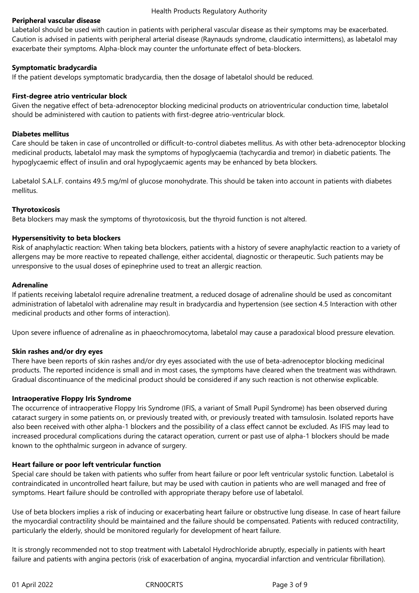# **Peripheral vascular disease**

Labetalol should be used with caution in patients with peripheral vascular disease as their symptoms may be exacerbated. Caution is advised in patients with peripheral arterial disease (Raynauds syndrome, claudicatio intermittens), as labetalol may exacerbate their symptoms. Alpha-block may counter the unfortunate effect of beta-blockers.

## **Symptomatic bradycardia**

If the patient develops symptomatic bradycardia, then the dosage of labetalol should be reduced.

# **First-degree atrio ventricular block**

Given the negative effect of beta-adrenoceptor blocking medicinal products on atrioventricular conduction time, labetalol should be administered with caution to patients with first-degree atrio-ventricular block.

# **Diabetes mellitus**

Care should be taken in case of uncontrolled or difficult-to-control diabetes mellitus. As with other beta-adrenoceptor blocking medicinal products, labetalol may mask the symptoms of hypoglycaemia (tachycardia and tremor) in diabetic patients. The hypoglycaemic effect of insulin and oral hypoglycaemic agents may be enhanced by beta blockers.

Labetalol S.A.L.F. contains 49.5 mg/ml of glucose monohydrate. This should be taken into account in patients with diabetes mellitus.

# **Thyrotoxicosis**

Beta blockers may mask the symptoms of thyrotoxicosis, but the thyroid function is not altered.

# **Hypersensitivity to beta blockers**

Risk of anaphylactic reaction: When taking beta blockers, patients with a history of severe anaphylactic reaction to a variety of allergens may be more reactive to repeated challenge, either accidental, diagnostic or therapeutic. Such patients may be unresponsive to the usual doses of epinephrine used to treat an allergic reaction.

# **Adrenaline**

If patients receiving labetalol require adrenaline treatment, a reduced dosage of adrenaline should be used as concomitant administration of labetalol with adrenaline may result in bradycardia and hypertension (see section 4.5 Interaction with other medicinal products and other forms of interaction).

Upon severe influence of adrenaline as in phaeochromocytoma, labetalol may cause a paradoxical blood pressure elevation.

# **Skin rashes and/or dry eyes**

There have been reports of skin rashes and/or dry eyes associated with the use of beta-adrenoceptor blocking medicinal products. The reported incidence is small and in most cases, the symptoms have cleared when the treatment was withdrawn. Gradual discontinuance of the medicinal product should be considered if any such reaction is not otherwise explicable.

## **Intraoperative Floppy Iris Syndrome**

The occurrence of intraoperative Floppy Iris Syndrome (IFIS, a variant of Small Pupil Syndrome) has been observed during cataract surgery in some patients on, or previously treated with, or previously treated with tamsulosin. Isolated reports have also been received with other alpha-1 blockers and the possibility of a class effect cannot be excluded. As IFIS may lead to increased procedural complications during the cataract operation, current or past use of alpha-1 blockers should be made known to the ophthalmic surgeon in advance of surgery.

# **Heart failure or poor left ventricular function**

Special care should be taken with patients who suffer from heart failure or poor left ventricular systolic function. Labetalol is contraindicated in uncontrolled heart failure, but may be used with caution in patients who are well managed and free of symptoms. Heart failure should be controlled with appropriate therapy before use of labetalol.

Use of beta blockers implies a risk of inducing or exacerbating heart failure or obstructive lung disease. In case of heart failure the myocardial contractility should be maintained and the failure should be compensated. Patients with reduced contractility, particularly the elderly, should be monitored regularly for development of heart failure.

It is strongly recommended not to stop treatment with Labetalol Hydrochloride abruptly, especially in patients with heart failure and patients with angina pectoris (risk of exacerbation of angina, myocardial infarction and ventricular fibrillation).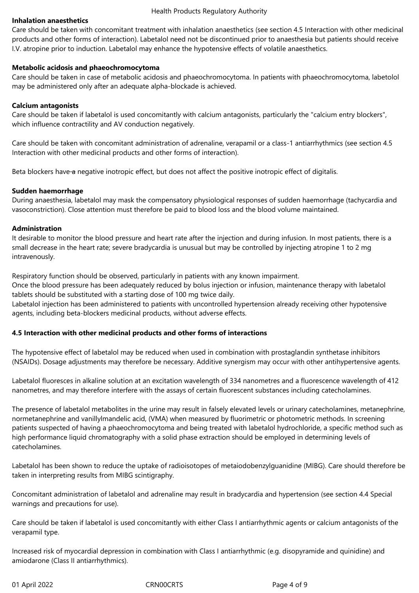# **Inhalation anaesthetics**

Care should be taken with concomitant treatment with inhalation anaesthetics (see section 4.5 Interaction with other medicinal products and other forms of interaction). Labetalol need not be discontinued prior to anaesthesia but patients should receive I.V. atropine prior to induction. Labetalol may enhance the hypotensive effects of volatile anaesthetics.

## **Metabolic acidosis and phaeochromocytoma**

Care should be taken in case of metabolic acidosis and phaeochromocytoma. In patients with phaeochromocytoma, labetolol may be administered only after an adequate alpha-blockade is achieved.

# **Calcium antagonists**

Care should be taken if labetalol is used concomitantly with calcium antagonists, particularly the "calcium entry blockers", which influence contractility and AV conduction negatively.

Care should be taken with concomitant administration of adrenaline, verapamil or a class-1 antiarrhythmics (see section 4.5 Interaction with other medicinal products and other forms of interaction).

Beta blockers have a negative inotropic effect, but does not affect the positive inotropic effect of digitalis.

# **Sudden haemorrhage**

During anaesthesia, labetalol may mask the compensatory physiological responses of sudden haemorrhage (tachycardia and vasoconstriction). Close attention must therefore be paid to blood loss and the blood volume maintained.

# **Administration**

It desirable to monitor the blood pressure and heart rate after the injection and during infusion. In most patients, there is a small decrease in the heart rate; severe bradycardia is unusual but may be controlled by injecting atropine 1 to 2 mg intravenously.

Respiratory function should be observed, particularly in patients with any known impairment.

Once the blood pressure has been adequately reduced by bolus injection or infusion, maintenance therapy with labetalol tablets should be substituted with a starting dose of 100 mg twice daily.

Labetalol injection has been administered to patients with uncontrolled hypertension already receiving other hypotensive agents, including beta-blockers medicinal products, without adverse effects.

# **4.5 Interaction with other medicinal products and other forms of interactions**

The hypotensive effect of labetalol may be reduced when used in combination with prostaglandin synthetase inhibitors (NSAIDs). Dosage adjustments may therefore be necessary. Additive synergism may occur with other antihypertensive agents.

Labetalol fluoresces in alkaline solution at an excitation wavelength of 334 nanometres and a fluorescence wavelength of 412 nanometres, and may therefore interfere with the assays of certain fluorescent substances including catecholamines.

The presence of labetalol metabolites in the urine may result in falsely elevated levels or urinary catecholamines, metanephrine, normetanephrine and vanillylmandelic acid, (VMA) when measured by fluorimetric or photometric methods. In screening patients suspected of having a phaeochromocytoma and being treated with labetalol hydrochloride, a specific method such as high performance liquid chromatography with a solid phase extraction should be employed in determining levels of catecholamines.

Labetalol has been shown to reduce the uptake of radioisotopes of metaiodobenzylguanidine (MIBG). Care should therefore be taken in interpreting results from MIBG scintigraphy.

Concomitant administration of labetalol and adrenaline may result in bradycardia and hypertension (see section 4.4 Special warnings and precautions for use).

Care should be taken if labetalol is used concomitantly with either Class I antiarrhythmic agents or calcium antagonists of the verapamil type.

Increased risk of myocardial depression in combination with Class I antiarrhythmic (e.g. disopyramide and quinidine) and amiodarone (Class II antiarrhythmics).

01 April 2022 CRN00CRTS Page 4 of 9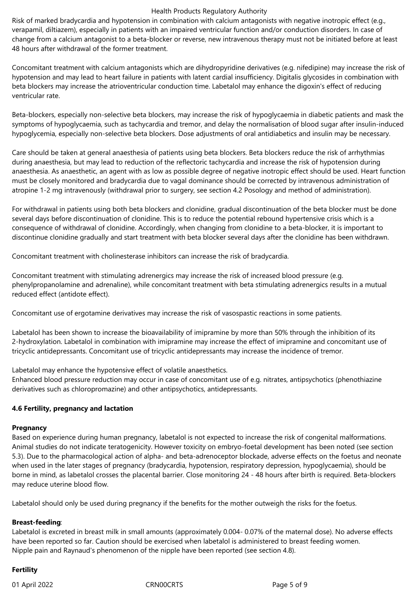Risk of marked bradycardia and hypotension in combination with calcium antagonists with negative inotropic effect (e.g., verapamil, diltiazem), especially in patients with an impaired ventricular function and/or conduction disorders. In case of change from a calcium antagonist to a beta-blocker or reverse, new intravenous therapy must not be initiated before at least 48 hours after withdrawal of the former treatment.

Concomitant treatment with calcium antagonists which are dihydropyridine derivatives (e.g. nifedipine) may increase the risk of hypotension and may lead to heart failure in patients with latent cardial insufficiency. Digitalis glycosides in combination with beta blockers may increase the atrioventricular conduction time. Labetalol may enhance the digoxin's effect of reducing ventricular rate.

Beta-blockers, especially non-selective beta blockers, may increase the risk of hypoglycaemia in diabetic patients and mask the symptoms of hypoglycaemia, such as tachycardia and tremor, and delay the normalisation of blood sugar after insulin-induced hypoglycemia, especially non-selective beta blockers. Dose adjustments of oral antidiabetics and insulin may be necessary.

Care should be taken at general anaesthesia of patients using beta blockers. Beta blockers reduce the risk of arrhythmias during anaesthesia, but may lead to reduction of the reflectoric tachycardia and increase the risk of hypotension during anaesthesia. As anaesthetic, an agent with as low as possible degree of negative inotropic effect should be used. Heart function must be closely monitored and bradycardia due to vagal dominance should be corrected by intravenous administration of atropine 1-2 mg intravenously (withdrawal prior to surgery, see section 4.2 Posology and method of administration).

For withdrawal in patients using both beta blockers and clonidine, gradual discontinuation of the beta blocker must be done several days before discontinuation of clonidine. This is to reduce the potential rebound hypertensive crisis which is a consequence of withdrawal of clonidine. Accordingly, when changing from clonidine to a beta-blocker, it is important to discontinue clonidine gradually and start treatment with beta blocker several days after the clonidine has been withdrawn.

Concomitant treatment with cholinesterase inhibitors can increase the risk of bradycardia.

Concomitant treatment with stimulating adrenergics may increase the risk of increased blood pressure (e.g. phenylpropanolamine and adrenaline), while concomitant treatment with beta stimulating adrenergics results in a mutual reduced effect (antidote effect).

Concomitant use of ergotamine derivatives may increase the risk of vasospastic reactions in some patients.

Labetalol has been shown to increase the bioavailability of imipramine by more than 50% through the inhibition of its 2-hydroxylation. Labetalol in combination with imipramine may increase the effect of imipramine and concomitant use of tricyclic antidepressants. Concomitant use of tricyclic antidepressants may increase the incidence of tremor.

Labetalol may enhance the hypotensive effect of volatile anaesthetics. Enhanced blood pressure reduction may occur in case of concomitant use of e.g. nitrates, antipsychotics (phenothiazine derivatives such as chloropromazine) and other antipsychotics, antidepressants.

## **4.6 Fertility, pregnancy and lactation**

## **Pregnancy**

Based on experience during human pregnancy, labetalol is not expected to increase the risk of congenital malformations. Animal studies do not indicate teratogenicity. However toxicity on embryo-foetal development has been noted (see section 5.3). Due to the pharmacological action of alpha- and beta-adrenoceptor blockade, adverse effects on the foetus and neonate when used in the later stages of pregnancy (bradycardia, hypotension, respiratory depression, hypoglycaemia), should be borne in mind, as labetalol crosses the placental barrier. Close monitoring 24 - 48 hours after birth is required. Beta-blockers may reduce uterine blood flow.

Labetalol should only be used during pregnancy if the benefits for the mother outweigh the risks for the foetus.

## **Breast-feeding**:

Labetalol is excreted in breast milk in small amounts (approximately 0.004- 0.07% of the maternal dose). No adverse effects have been reported so far. Caution should be exercised when labetalol is administered to breast feeding women. Nipple pain and Raynaud's phenomenon of the nipple have been reported (see section 4.8).

# **Fertility**

01 April 2022 CRN00CRTS Page 5 of 9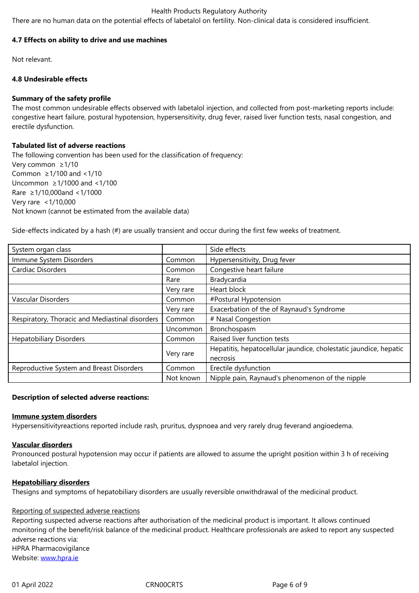#### **4.7 Effects on ability to drive and use machines**

Not relevant.

## **4.8 Undesirable effects**

# **Summary of the safety profile**

The most common undesirable effects observed with labetalol injection, and collected from post-marketing reports include: congestive heart failure, postural hypotension, hypersensitivity, drug fever, raised liver function tests, nasal congestion, and erectile dysfunction.

# **Tabulated list of adverse reactions**

The following convention has been used for the classification of frequency: Very common ≥1/10 Common  $\geq$  1/100 and <1/10 Uncommon ≥1/1000 and <1/100 Rare ≥1/10,000and <1/1000 Very rare <1/10,000 Not known (cannot be estimated from the available data)

Side-effects indicated by a hash (#) are usually transient and occur during the first few weeks of treatment.

| System organ class                              |                                                                   | Side effects                                    |
|-------------------------------------------------|-------------------------------------------------------------------|-------------------------------------------------|
| Immune System Disorders                         | Common                                                            | Hypersensitivity, Drug fever                    |
| Cardiac Disorders                               | Common                                                            | Congestive heart failure                        |
|                                                 | Rare                                                              | Bradycardia                                     |
|                                                 | Very rare                                                         | Heart block                                     |
| Vascular Disorders                              | Common                                                            | #Postural Hypotension                           |
|                                                 | Very rare                                                         | Exacerbation of the of Raynaud's Syndrome       |
| Respiratory, Thoracic and Mediastinal disorders | Common                                                            | # Nasal Congestion                              |
|                                                 | Uncommon                                                          | Bronchospasm                                    |
| <b>Hepatobiliary Disorders</b>                  | Common                                                            | Raised liver function tests                     |
|                                                 | Hepatitis, hepatocellular jaundice, cholestatic jaundice, hepatic |                                                 |
|                                                 | Very rare                                                         | necrosis                                        |
| Reproductive System and Breast Disorders        | Common                                                            | Erectile dysfunction                            |
|                                                 | Not known                                                         | Nipple pain, Raynaud's phenomenon of the nipple |

# **Description of selected adverse reactions:**

## **Immune system disorders**

Hypersensitivityreactions reported include rash, pruritus, dyspnoea and very rarely drug feverand angioedema.

## **Vascular disorders**

Pronounced postural hypotension may occur if patients are allowed to assume the upright position within 3 h of receiving labetalol injection.

## **Hepatobiliary disorders**

Thesigns and symptoms of hepatobiliary disorders are usually reversible onwithdrawal of the medicinal product.

# Reporting of suspected adverse reactions

Reporting suspected adverse reactions after authorisation of the medicinal product is important. It allows continued monitoring of the benefit/risk balance of the medicinal product. Healthcare professionals are asked to report any suspected adverse reactions via: HPRA Pharmacovigilance Website: www.hpra.ie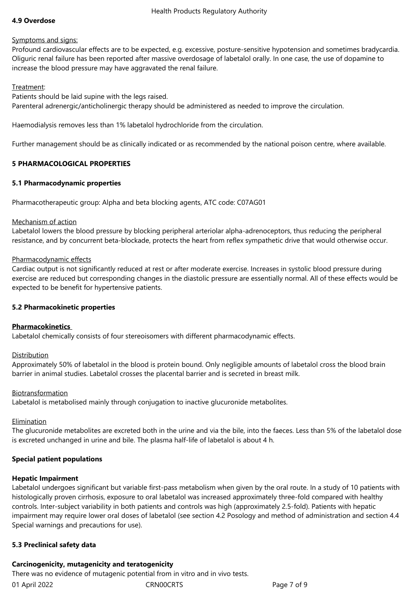# **4.9 Overdose**

## Symptoms and signs:

Profound cardiovascular effects are to be expected, e.g. excessive, posture-sensitive hypotension and sometimes bradycardia. Oliguric renal failure has been reported after massive overdosage of labetalol orally. In one case, the use of dopamine to increase the blood pressure may have aggravated the renal failure.

# Treatment:

Patients should be laid supine with the legs raised. Parenteral adrenergic/anticholinergic therapy should be administered as needed to improve the circulation.

Haemodialysis removes less than 1% labetalol hydrochloride from the circulation.

Further management should be as clinically indicated or as recommended by the national poison centre, where available.

# **5 PHARMACOLOGICAL PROPERTIES**

# **5.1 Pharmacodynamic properties**

Pharmacotherapeutic group: Alpha and beta blocking agents, ATC code: C07AG01

## Mechanism of action

Labetalol lowers the blood pressure by blocking peripheral arteriolar alpha-adrenoceptors, thus reducing the peripheral resistance, and by concurrent beta-blockade, protects the heart from reflex sympathetic drive that would otherwise occur.

# Pharmacodynamic effects

Cardiac output is not significantly reduced at rest or after moderate exercise. Increases in systolic blood pressure during exercise are reduced but corresponding changes in the diastolic pressure are essentially normal. All of these effects would be expected to be benefit for hypertensive patients.

# **5.2 Pharmacokinetic properties**

# **Pharmacokinetics**

Labetalol chemically consists of four stereoisomers with different pharmacodynamic effects.

## Distribution

Approximately 50% of labetalol in the blood is protein bound. Only negligible amounts of labetalol cross the blood brain barrier in animal studies. Labetalol crosses the placental barrier and is secreted in breast milk.

## Biotransformation

Labetalol is metabolised mainly through conjugation to inactive glucuronide metabolites.

## Elimination

The glucuronide metabolites are excreted both in the urine and via the bile, into the faeces. Less than 5% of the labetalol dose is excreted unchanged in urine and bile. The plasma half-life of labetalol is about 4 h.

# **Special patient populations**

## **Hepatic Impairment**

Labetalol undergoes significant but variable first-pass metabolism when given by the oral route. In a study of 10 patients with histologically proven cirrhosis, exposure to oral labetalol was increased approximately three-fold compared with healthy controls. Inter-subject variability in both patients and controls was high (approximately 2.5-fold). Patients with hepatic impairment may require lower oral doses of labetalol (see section 4.2 Posology and method of administration and section 4.4 Special warnings and precautions for use).

# **5.3 Preclinical safety data**

# **Carcinogenicity, mutagenicity and teratogenicity**

01 April 2022 CRN00CRTS Page 7 of 9 There was no evidence of mutagenic potential from in vitro and in vivo tests.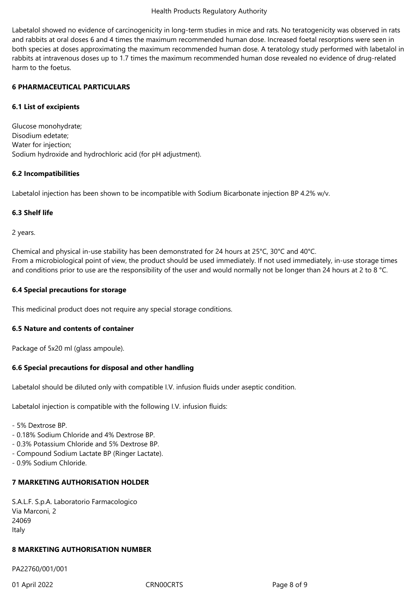Labetalol showed no evidence of carcinogenicity in long-term studies in mice and rats. No teratogenicity was observed in rats and rabbits at oral doses 6 and 4 times the maximum recommended human dose. Increased foetal resorptions were seen in both species at doses approximating the maximum recommended human dose. A teratology study performed with labetalol in rabbits at intravenous doses up to 1.7 times the maximum recommended human dose revealed no evidence of drug-related harm to the foetus.

## **6 PHARMACEUTICAL PARTICULARS**

# **6.1 List of excipients**

Glucose monohydrate; Disodium edetate; Water for injection; Sodium hydroxide and hydrochloric acid (for pH adjustment).

# **6.2 Incompatibilities**

Labetalol injection has been shown to be incompatible with Sodium Bicarbonate injection BP 4.2% w/v.

# **6.3 Shelf life**

2 years.

Chemical and physical in-use stability has been demonstrated for 24 hours at 25°C, 30°C and 40°C. From a microbiological point of view, the product should be used immediately. If not used immediately, in-use storage times and conditions prior to use are the responsibility of the user and would normally not be longer than 24 hours at 2 to 8 °C.

# **6.4 Special precautions for storage**

This medicinal product does not require any special storage conditions.

# **6.5 Nature and contents of container**

Package of 5x20 ml (glass ampoule).

# **6.6 Special precautions for disposal and other handling**

Labetalol should be diluted only with compatible I.V. infusion fluids under aseptic condition.

Labetalol injection is compatible with the following I.V. infusion fluids:

- 5% Dextrose BP.
- 0.18% Sodium Chloride and 4% Dextrose BP.
- 0.3% Potassium Chloride and 5% Dextrose BP.
- Compound Sodium Lactate BP (Ringer Lactate).
- 0.9% Sodium Chloride.

# **7 MARKETING AUTHORISATION HOLDER**

S.A.L.F. S.p.A. Laboratorio Farmacologico Via Marconi, 2 24069 Italy

# **8 MARKETING AUTHORISATION NUMBER**

PA22760/001/001

01 April 2022 CRN00CRTS Page 8 of 9